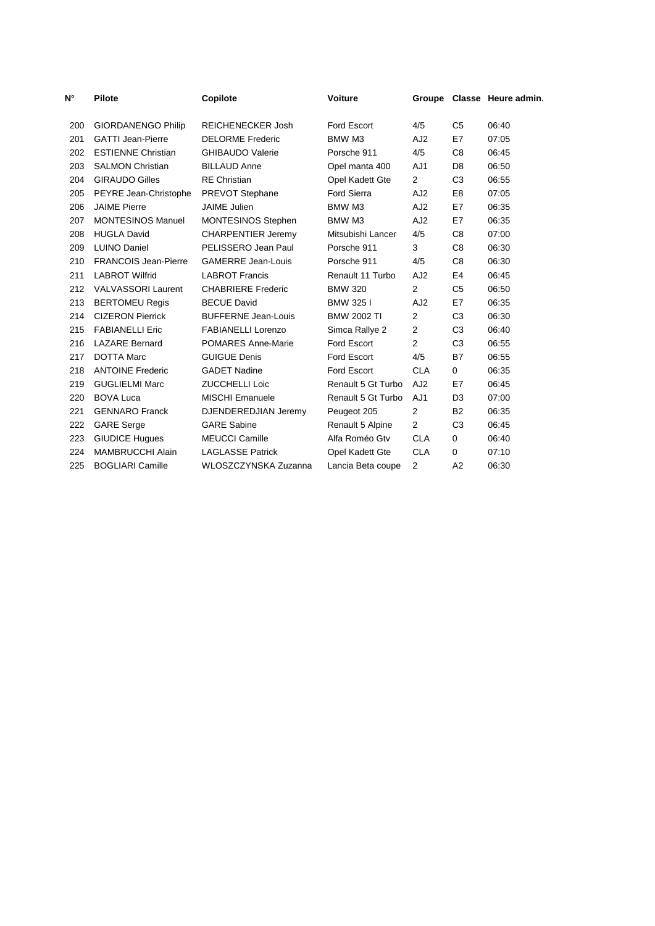| N°  | <b>Pilote</b>               | Copilote                   | <b>Voiture</b>     |                 |                | Groupe Classe Heure admin. |
|-----|-----------------------------|----------------------------|--------------------|-----------------|----------------|----------------------------|
| 200 | <b>GIORDANENGO Philip</b>   | <b>REICHENECKER Josh</b>   | <b>Ford Escort</b> | 4/5             | C5             | 06:40                      |
| 201 | <b>GATTI Jean-Pierre</b>    | <b>DELORME Frederic</b>    | BMW M3             | AJ <sub>2</sub> | E7             | 07:05                      |
| 202 | <b>ESTIENNE Christian</b>   | <b>GHIBAUDO Valerie</b>    | Porsche 911        | 4/5             | C <sub>8</sub> | 06:45                      |
| 203 | <b>SALMON Christian</b>     | <b>BILLAUD Anne</b>        | Opel manta 400     | AJ1             | D <sub>8</sub> | 06:50                      |
| 204 | <b>GIRAUDO Gilles</b>       | <b>RE</b> Christian        | Opel Kadett Gte    | $\overline{2}$  | C <sub>3</sub> | 06:55                      |
| 205 | PEYRE Jean-Christophe       | PREVOT Stephane            | <b>Ford Sierra</b> | AJ <sub>2</sub> | E <sub>8</sub> | 07:05                      |
| 206 | <b>JAIME Pierre</b>         | <b>JAIME</b> Julien        | BMW M3             | AJ <sub>2</sub> | E7             | 06:35                      |
| 207 | <b>MONTESINOS Manuel</b>    | <b>MONTESINOS Stephen</b>  | BMW M3             | AJ <sub>2</sub> | E7             | 06:35                      |
| 208 | <b>HUGLA David</b>          | <b>CHARPENTIER Jeremy</b>  | Mitsubishi Lancer  | 4/5             | C <sub>8</sub> | 07:00                      |
| 209 | <b>LUINO Daniel</b>         | PELISSERO Jean Paul        | Porsche 911        | 3               | C <sub>8</sub> | 06:30                      |
| 210 | <b>FRANCOIS Jean-Pierre</b> | <b>GAMERRE Jean-Louis</b>  | Porsche 911        | 4/5             | C8             | 06:30                      |
| 211 | <b>LABROT Wilfrid</b>       | <b>LABROT Francis</b>      | Renault 11 Turbo   | AJ <sub>2</sub> | E4             | 06:45                      |
| 212 | <b>VALVASSORI Laurent</b>   | <b>CHABRIERE Frederic</b>  | <b>BMW 320</b>     | 2               | C <sub>5</sub> | 06:50                      |
| 213 | <b>BERTOMEU Regis</b>       | <b>BECUE David</b>         | BMW 3251           | AJ <sub>2</sub> | E7             | 06:35                      |
| 214 | <b>CIZERON Pierrick</b>     | <b>BUFFERNE Jean-Louis</b> | <b>BMW 2002 TI</b> | $\overline{2}$  | C <sub>3</sub> | 06:30                      |
| 215 | <b>FABIANELLI Eric</b>      | <b>FABIANELLI Lorenzo</b>  | Simca Rallye 2     | $\overline{2}$  | C <sub>3</sub> | 06:40                      |
| 216 | <b>LAZARE Bernard</b>       | <b>POMARES Anne-Marie</b>  | Ford Escort        | $\overline{2}$  | C <sub>3</sub> | 06:55                      |
| 217 | <b>DOTTA Marc</b>           | <b>GUIGUE Denis</b>        | <b>Ford Escort</b> | 4/5             | <b>B7</b>      | 06:55                      |
| 218 | <b>ANTOINE Frederic</b>     | <b>GADET Nadine</b>        | <b>Ford Escort</b> | <b>CLA</b>      | 0              | 06:35                      |
| 219 | <b>GUGLIELMI Marc</b>       | <b>ZUCCHELLI Loic</b>      | Renault 5 Gt Turbo | AJ <sub>2</sub> | E7             | 06:45                      |
| 220 | <b>BOVA Luca</b>            | <b>MISCHI Emanuele</b>     | Renault 5 Gt Turbo | AJ1             | D <sub>3</sub> | 07:00                      |
| 221 | <b>GENNARO Franck</b>       | DJENDEREDJIAN Jeremy       | Peugeot 205        | $\overline{2}$  | <b>B2</b>      | 06:35                      |
| 222 | <b>GARE Serge</b>           | <b>GARE Sabine</b>         | Renault 5 Alpine   | $\overline{2}$  | C <sub>3</sub> | 06:45                      |
| 223 | <b>GIUDICE Hugues</b>       | <b>MEUCCI Camille</b>      | Alfa Roméo Gtv     | <b>CLA</b>      | $\mathbf 0$    | 06:40                      |
| 224 | <b>MAMBRUCCHI Alain</b>     | <b>LAGLASSE Patrick</b>    | Opel Kadett Gte    | <b>CLA</b>      | 0              | 07:10                      |
| 225 | <b>BOGLIARI Camille</b>     | WLOSZCZYNSKA Zuzanna       | Lancia Beta coupe  | $\overline{2}$  | A2             | 06:30                      |
|     |                             |                            |                    |                 |                |                            |